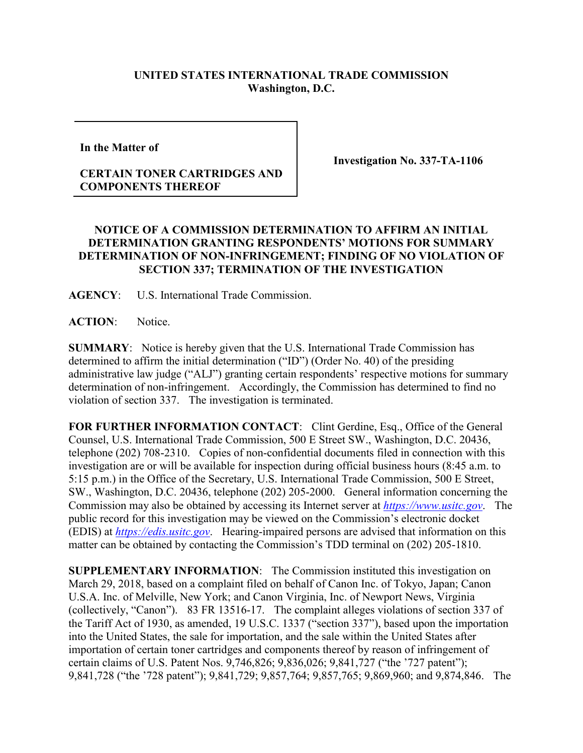## **UNITED STATES INTERNATIONAL TRADE COMMISSION Washington, D.C.**

**In the Matter of** 

## **CERTAIN TONER CARTRIDGES AND COMPONENTS THEREOF**

**Investigation No. 337-TA-1106**

## **NOTICE OF A COMMISSION DETERMINATION TO AFFIRM AN INITIAL DETERMINATION GRANTING RESPONDENTS' MOTIONS FOR SUMMARY DETERMINATION OF NON-INFRINGEMENT; FINDING OF NO VIOLATION OF SECTION 337; TERMINATION OF THE INVESTIGATION**

**AGENCY**: U.S. International Trade Commission.

**ACTION**: Notice.

**SUMMARY**: Notice is hereby given that the U.S. International Trade Commission has determined to affirm the initial determination ("ID") (Order No. 40) of the presiding administrative law judge ("ALJ") granting certain respondents' respective motions for summary determination of non-infringement. Accordingly, the Commission has determined to find no violation of section 337. The investigation is terminated.

**FOR FURTHER INFORMATION CONTACT**: Clint Gerdine, Esq., Office of the General Counsel, U.S. International Trade Commission, 500 E Street SW., Washington, D.C. 20436, telephone (202) 708-2310. Copies of non-confidential documents filed in connection with this investigation are or will be available for inspection during official business hours (8:45 a.m. to 5:15 p.m.) in the Office of the Secretary, U.S. International Trade Commission, 500 E Street, SW., Washington, D.C. 20436, telephone (202) 205-2000. General information concerning the Commission may also be obtained by accessing its Internet server at *[https://www.usitc.gov](https://www.usitc.gov/)*. The public record for this investigation may be viewed on the Commission's electronic docket (EDIS) at *[https://edis.usitc.gov](https://edis.usitc.gov/)*. Hearing-impaired persons are advised that information on this matter can be obtained by contacting the Commission's TDD terminal on (202) 205-1810.

**SUPPLEMENTARY INFORMATION**: The Commission instituted this investigation on March 29, 2018, based on a complaint filed on behalf of Canon Inc. of Tokyo, Japan; Canon U.S.A. Inc. of Melville, New York; and Canon Virginia, Inc. of Newport News, Virginia (collectively, "Canon"). 83 FR 13516-17. The complaint alleges violations of section 337 of the Tariff Act of 1930, as amended, 19 U.S.C. 1337 ("section 337"), based upon the importation into the United States, the sale for importation, and the sale within the United States after importation of certain toner cartridges and components thereof by reason of infringement of certain claims of U.S. Patent Nos. 9,746,826; 9,836,026; 9,841,727 ("the '727 patent"); 9,841,728 ("the '728 patent"); 9,841,729; 9,857,764; 9,857,765; 9,869,960; and 9,874,846. The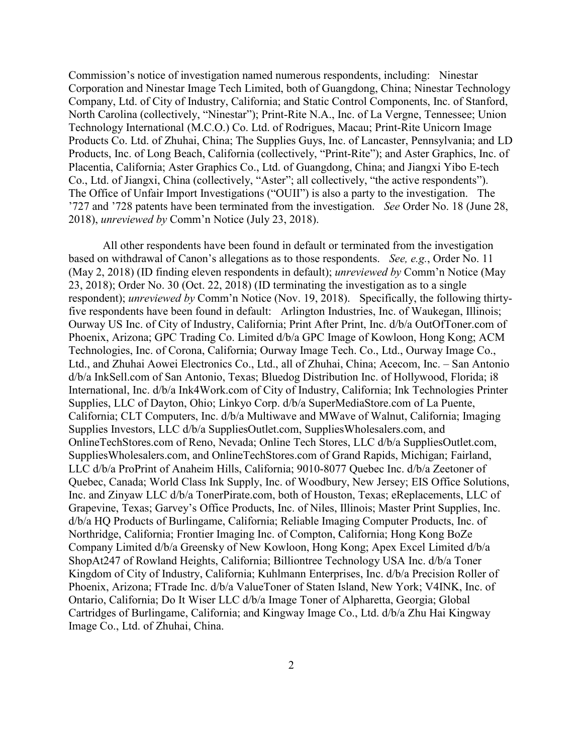Commission's notice of investigation named numerous respondents, including: Ninestar Corporation and Ninestar Image Tech Limited, both of Guangdong, China; Ninestar Technology Company, Ltd. of City of Industry, California; and Static Control Components, Inc. of Stanford, North Carolina (collectively, "Ninestar"); Print-Rite N.A., Inc. of La Vergne, Tennessee; Union Technology International (M.C.O.) Co. Ltd. of Rodrigues, Macau; Print-Rite Unicorn Image Products Co. Ltd. of Zhuhai, China; The Supplies Guys, Inc. of Lancaster, Pennsylvania; and LD Products, Inc. of Long Beach, California (collectively, "Print-Rite"); and Aster Graphics, Inc. of Placentia, California; Aster Graphics Co., Ltd. of Guangdong, China; and Jiangxi Yibo E-tech Co., Ltd. of Jiangxi, China (collectively, "Aster"; all collectively, "the active respondents"). The Office of Unfair Import Investigations ("OUII") is also a party to the investigation. The '727 and '728 patents have been terminated from the investigation. *See* Order No. 18 (June 28, 2018), *unreviewed by* Comm'n Notice (July 23, 2018).

All other respondents have been found in default or terminated from the investigation based on withdrawal of Canon's allegations as to those respondents. *See, e.g.*, Order No. 11 (May 2, 2018) (ID finding eleven respondents in default); *unreviewed by* Comm'n Notice (May 23, 2018); Order No. 30 (Oct. 22, 2018) (ID terminating the investigation as to a single respondent); *unreviewed by* Comm'n Notice (Nov. 19, 2018). Specifically, the following thirtyfive respondents have been found in default: Arlington Industries, Inc. of Waukegan, Illinois; Ourway US Inc. of City of Industry, California; Print After Print, Inc. d/b/a OutOfToner.com of Phoenix, Arizona; GPC Trading Co. Limited d/b/a GPC Image of Kowloon, Hong Kong; ACM Technologies, Inc. of Corona, California; Ourway Image Tech. Co., Ltd., Ourway Image Co., Ltd., and Zhuhai Aowei Electronics Co., Ltd., all of Zhuhai, China; Acecom, Inc. – San Antonio d/b/a InkSell.com of San Antonio, Texas; Bluedog Distribution Inc. of Hollywood, Florida; i8 International, Inc. d/b/a Ink4Work.com of City of Industry, California; Ink Technologies Printer Supplies, LLC of Dayton, Ohio; Linkyo Corp. d/b/a SuperMediaStore.com of La Puente, California; CLT Computers, Inc. d/b/a Multiwave and MWave of Walnut, California; Imaging Supplies Investors, LLC d/b/a SuppliesOutlet.com, SuppliesWholesalers.com, and OnlineTechStores.com of Reno, Nevada; Online Tech Stores, LLC d/b/a SuppliesOutlet.com, SuppliesWholesalers.com, and OnlineTechStores.com of Grand Rapids, Michigan; Fairland, LLC d/b/a ProPrint of Anaheim Hills, California; 9010-8077 Quebec Inc. d/b/a Zeetoner of Quebec, Canada; World Class Ink Supply, Inc. of Woodbury, New Jersey; EIS Office Solutions, Inc. and Zinyaw LLC d/b/a TonerPirate.com, both of Houston, Texas; eReplacements, LLC of Grapevine, Texas; Garvey's Office Products, Inc. of Niles, Illinois; Master Print Supplies, Inc. d/b/a HQ Products of Burlingame, California; Reliable Imaging Computer Products, Inc. of Northridge, California; Frontier Imaging Inc. of Compton, California; Hong Kong BoZe Company Limited d/b/a Greensky of New Kowloon, Hong Kong; Apex Excel Limited d/b/a ShopAt247 of Rowland Heights, California; Billiontree Technology USA Inc. d/b/a Toner Kingdom of City of Industry, California; Kuhlmann Enterprises, Inc. d/b/a Precision Roller of Phoenix, Arizona; FTrade Inc. d/b/a ValueToner of Staten Island, New York; V4INK, Inc. of Ontario, California; Do It Wiser LLC d/b/a Image Toner of Alpharetta, Georgia; Global Cartridges of Burlingame, California; and Kingway Image Co., Ltd. d/b/a Zhu Hai Kingway Image Co., Ltd. of Zhuhai, China.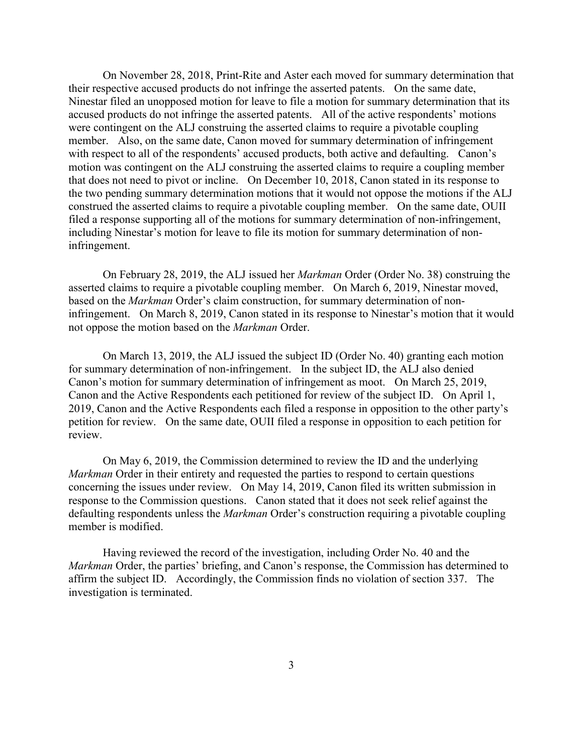On November 28, 2018, Print-Rite and Aster each moved for summary determination that their respective accused products do not infringe the asserted patents. On the same date, Ninestar filed an unopposed motion for leave to file a motion for summary determination that its accused products do not infringe the asserted patents. All of the active respondents' motions were contingent on the ALJ construing the asserted claims to require a pivotable coupling member. Also, on the same date, Canon moved for summary determination of infringement with respect to all of the respondents' accused products, both active and defaulting. Canon's motion was contingent on the ALJ construing the asserted claims to require a coupling member that does not need to pivot or incline. On December 10, 2018, Canon stated in its response to the two pending summary determination motions that it would not oppose the motions if the ALJ construed the asserted claims to require a pivotable coupling member. On the same date, OUII filed a response supporting all of the motions for summary determination of non-infringement, including Ninestar's motion for leave to file its motion for summary determination of noninfringement.

On February 28, 2019, the ALJ issued her *Markman* Order (Order No. 38) construing the asserted claims to require a pivotable coupling member. On March 6, 2019, Ninestar moved, based on the *Markman* Order's claim construction, for summary determination of noninfringement. On March 8, 2019, Canon stated in its response to Ninestar's motion that it would not oppose the motion based on the *Markman* Order.

On March 13, 2019, the ALJ issued the subject ID (Order No. 40) granting each motion for summary determination of non-infringement. In the subject ID, the ALJ also denied Canon's motion for summary determination of infringement as moot. On March 25, 2019, Canon and the Active Respondents each petitioned for review of the subject ID. On April 1, 2019, Canon and the Active Respondents each filed a response in opposition to the other party's petition for review. On the same date, OUII filed a response in opposition to each petition for review.

On May 6, 2019, the Commission determined to review the ID and the underlying *Markman* Order in their entirety and requested the parties to respond to certain questions concerning the issues under review. On May 14, 2019, Canon filed its written submission in response to the Commission questions. Canon stated that it does not seek relief against the defaulting respondents unless the *Markman* Order's construction requiring a pivotable coupling member is modified.

Having reviewed the record of the investigation, including Order No. 40 and the *Markman* Order, the parties' briefing, and Canon's response, the Commission has determined to affirm the subject ID. Accordingly, the Commission finds no violation of section 337. The investigation is terminated.